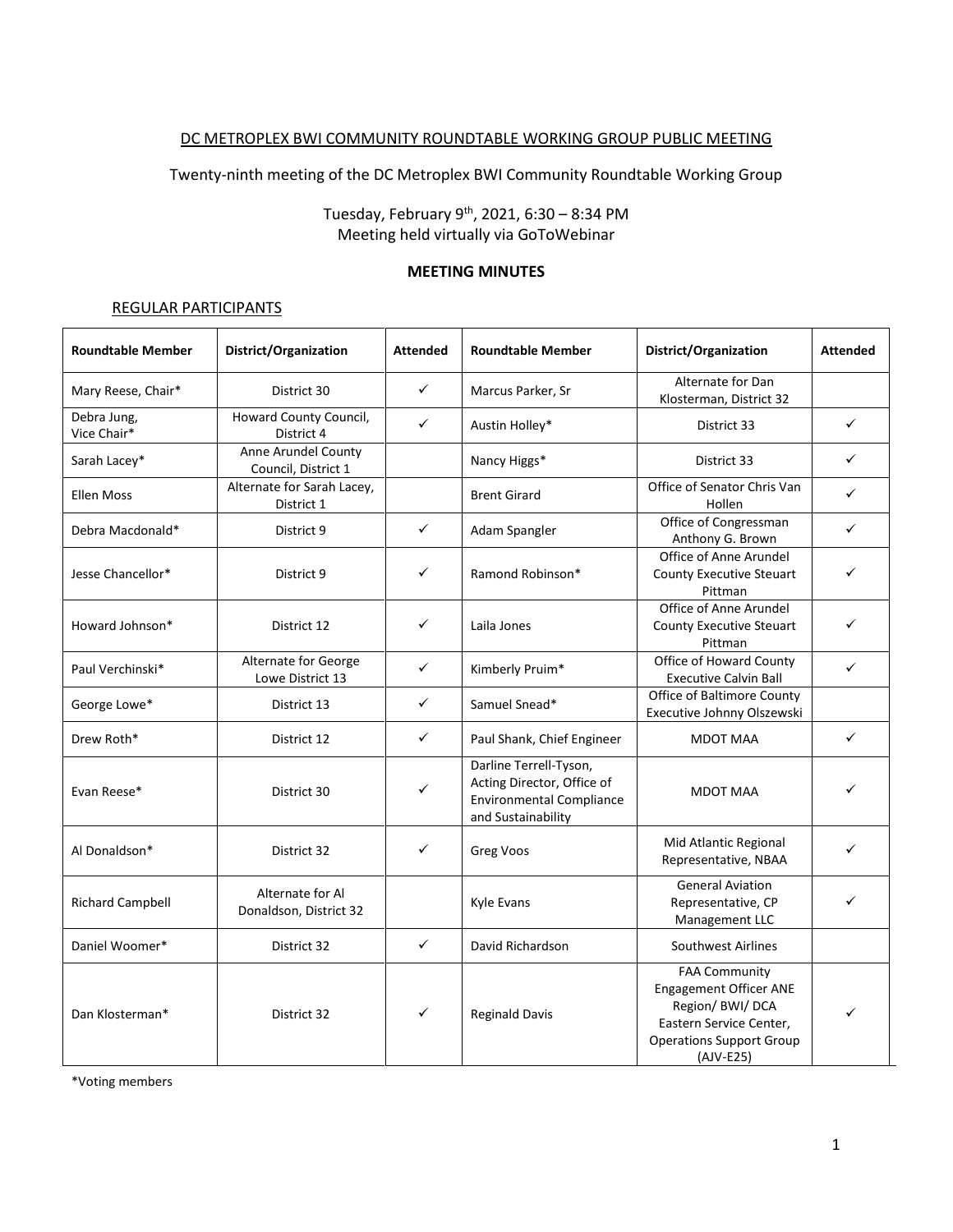### DC METROPLEX BWI COMMUNITY ROUNDTABLE WORKING GROUP PUBLIC MEETING

Twenty-ninth meeting of the DC Metroplex BWI Community Roundtable Working Group

Tuesday, February 9 th, 2021, 6:30 – 8:34 PM Meeting held virtually via GoToWebinar

#### **MEETING MINUTES**

#### REGULAR PARTICIPANTS

| <b>Roundtable Member</b>   | District/Organization                      | <b>Attended</b> | <b>Roundtable Member</b>                                                                                      | District/Organization                                                                                                                                | <b>Attended</b> |
|----------------------------|--------------------------------------------|-----------------|---------------------------------------------------------------------------------------------------------------|------------------------------------------------------------------------------------------------------------------------------------------------------|-----------------|
| Mary Reese, Chair*         | District 30                                | $\checkmark$    | Marcus Parker, Sr                                                                                             | Alternate for Dan<br>Klosterman, District 32                                                                                                         |                 |
| Debra Jung,<br>Vice Chair* | Howard County Council,<br>District 4       | $\checkmark$    | Austin Holley*                                                                                                | District 33                                                                                                                                          | ✓               |
| Sarah Lacey*               | Anne Arundel County<br>Council, District 1 |                 | Nancy Higgs*                                                                                                  | District 33                                                                                                                                          | ✓               |
| <b>Ellen Moss</b>          | Alternate for Sarah Lacey,<br>District 1   |                 | <b>Brent Girard</b>                                                                                           | Office of Senator Chris Van<br>Hollen                                                                                                                | ✓               |
| Debra Macdonald*           | District 9                                 | $\checkmark$    | Adam Spangler                                                                                                 | Office of Congressman<br>Anthony G. Brown                                                                                                            | ✓               |
| Jesse Chancellor*          | District 9                                 | $\checkmark$    | Ramond Robinson*                                                                                              | Office of Anne Arundel<br>County Executive Steuart<br>Pittman                                                                                        | ✓               |
| Howard Johnson*            | District 12                                | $\checkmark$    | Laila Jones                                                                                                   | Office of Anne Arundel<br><b>County Executive Steuart</b><br>Pittman                                                                                 | ✓               |
| Paul Verchinski*           | Alternate for George<br>Lowe District 13   | $\checkmark$    | Kimberly Pruim*                                                                                               | Office of Howard County<br><b>Executive Calvin Ball</b>                                                                                              | $\checkmark$    |
| George Lowe*               | District 13                                | $\checkmark$    | Samuel Snead*                                                                                                 | Office of Baltimore County<br>Executive Johnny Olszewski                                                                                             |                 |
| Drew Roth*                 | District 12                                | $\checkmark$    | Paul Shank, Chief Engineer                                                                                    | <b>MDOT MAA</b>                                                                                                                                      | $\checkmark$    |
| Evan Reese*                | District 30                                | ✓               | Darline Terrell-Tyson,<br>Acting Director, Office of<br><b>Environmental Compliance</b><br>and Sustainability | MDOT MAA                                                                                                                                             |                 |
| Al Donaldson*              | District 32                                | $\checkmark$    | Greg Voos                                                                                                     | Mid Atlantic Regional<br>Representative, NBAA                                                                                                        | ✓               |
| <b>Richard Campbell</b>    | Alternate for Al<br>Donaldson, District 32 |                 | Kyle Evans                                                                                                    | <b>General Aviation</b><br>Representative, CP<br>Management LLC                                                                                      | ✓               |
| Daniel Woomer*             | District 32                                | $\checkmark$    | David Richardson                                                                                              | Southwest Airlines                                                                                                                                   |                 |
| Dan Klosterman*            | District 32                                | ✓               | <b>Reginald Davis</b>                                                                                         | <b>FAA Community</b><br><b>Engagement Officer ANE</b><br>Region/ BWI/ DCA<br>Eastern Service Center,<br><b>Operations Support Group</b><br>(AJV-E25) | ✓               |

\*Voting members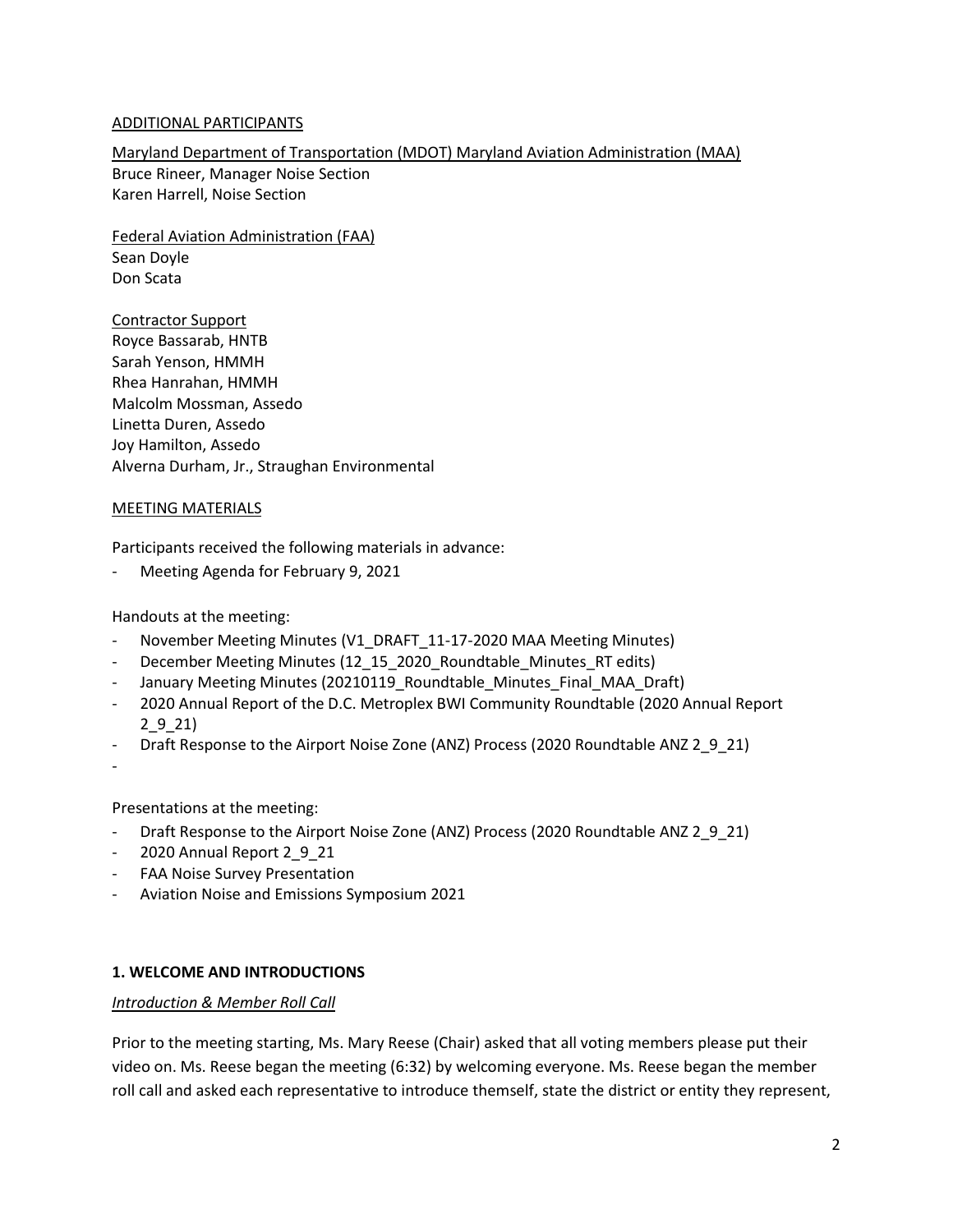### ADDITIONAL PARTICIPANTS

Maryland Department of Transportation (MDOT) Maryland Aviation Administration (MAA) Bruce Rineer, Manager Noise Section Karen Harrell, Noise Section

Federal Aviation Administration (FAA) Sean Doyle Don Scata

Contractor Support Royce Bassarab, HNTB Sarah Yenson, HMMH Rhea Hanrahan, HMMH Malcolm Mossman, Assedo Linetta Duren, Assedo Joy Hamilton, Assedo Alverna Durham, Jr., Straughan Environmental

### MEETING MATERIALS

Participants received the following materials in advance:

Meeting Agenda for February 9, 2021

Handouts at the meeting:

- November Meeting Minutes (V1\_DRAFT\_11-17-2020 MAA Meeting Minutes)
- December Meeting Minutes (12\_15\_2020\_Roundtable\_Minutes\_RT edits)
- January Meeting Minutes (20210119\_Roundtable\_Minutes\_Final\_MAA\_Draft)
- 2020 Annual Report of the D.C. Metroplex BWI Community Roundtable (2020 Annual Report 2\_9\_21)
- Draft Response to the Airport Noise Zone (ANZ) Process (2020 Roundtable ANZ 2\_9\_21)
- -

Presentations at the meeting:

- Draft Response to the Airport Noise Zone (ANZ) Process (2020 Roundtable ANZ 2\_9\_21)
- 2020 Annual Report 2\_9\_21
- FAA Noise Survey Presentation
- Aviation Noise and Emissions Symposium 2021

### **1. WELCOME AND INTRODUCTIONS**

### *Introduction & Member Roll Call*

Prior to the meeting starting, Ms. Mary Reese (Chair) asked that all voting members please put their video on. Ms. Reese began the meeting (6:32) by welcoming everyone. Ms. Reese began the member roll call and asked each representative to introduce themself, state the district or entity they represent,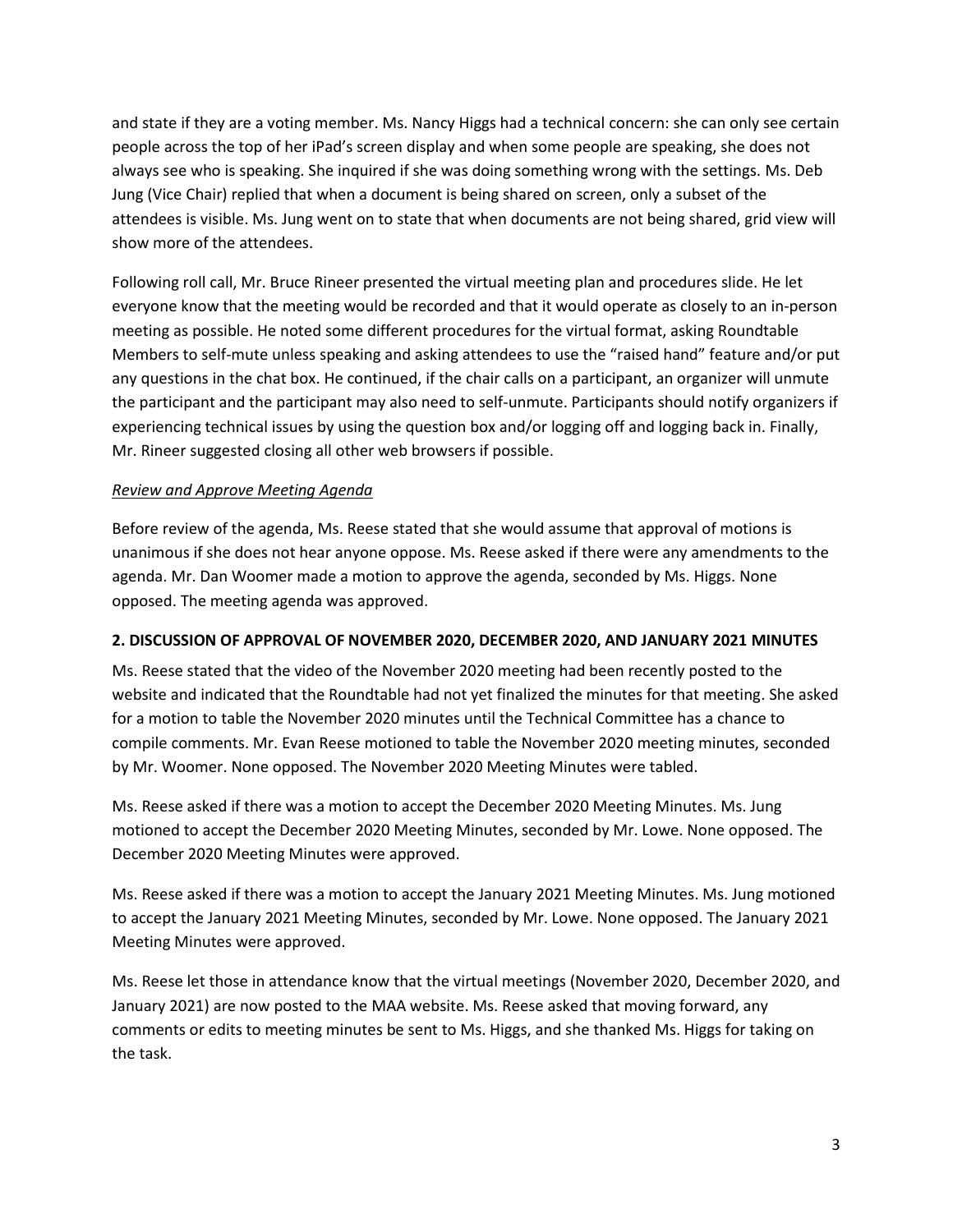and state if they are a voting member. Ms. Nancy Higgs had a technical concern: she can only see certain people across the top of her iPad's screen display and when some people are speaking, she does not always see who is speaking. She inquired if she was doing something wrong with the settings. Ms. Deb Jung (Vice Chair) replied that when a document is being shared on screen, only a subset of the attendees is visible. Ms. Jung went on to state that when documents are not being shared, grid view will show more of the attendees.

Following roll call, Mr. Bruce Rineer presented the virtual meeting plan and procedures slide. He let everyone know that the meeting would be recorded and that it would operate as closely to an in-person meeting as possible. He noted some different procedures for the virtual format, asking Roundtable Members to self-mute unless speaking and asking attendees to use the "raised hand" feature and/or put any questions in the chat box. He continued, if the chair calls on a participant, an organizer will unmute the participant and the participant may also need to self-unmute. Participants should notify organizers if experiencing technical issues by using the question box and/or logging off and logging back in. Finally, Mr. Rineer suggested closing all other web browsers if possible.

### *Review and Approve Meeting Agenda*

Before review of the agenda, Ms. Reese stated that she would assume that approval of motions is unanimous if she does not hear anyone oppose. Ms. Reese asked if there were any amendments to the agenda. Mr. Dan Woomer made a motion to approve the agenda, seconded by Ms. Higgs. None opposed. The meeting agenda was approved.

### **2. DISCUSSION OF APPROVAL OF NOVEMBER 2020, DECEMBER 2020, AND JANUARY 2021 MINUTES**

Ms. Reese stated that the video of the November 2020 meeting had been recently posted to the website and indicated that the Roundtable had not yet finalized the minutes for that meeting. She asked for a motion to table the November 2020 minutes until the Technical Committee has a chance to compile comments. Mr. Evan Reese motioned to table the November 2020 meeting minutes, seconded by Mr. Woomer. None opposed. The November 2020 Meeting Minutes were tabled.

Ms. Reese asked if there was a motion to accept the December 2020 Meeting Minutes. Ms. Jung motioned to accept the December 2020 Meeting Minutes, seconded by Mr. Lowe. None opposed. The December 2020 Meeting Minutes were approved.

Ms. Reese asked if there was a motion to accept the January 2021 Meeting Minutes. Ms. Jung motioned to accept the January 2021 Meeting Minutes, seconded by Mr. Lowe. None opposed. The January 2021 Meeting Minutes were approved.

Ms. Reese let those in attendance know that the virtual meetings (November 2020, December 2020, and January 2021) are now posted to the MAA website. Ms. Reese asked that moving forward, any comments or edits to meeting minutes be sent to Ms. Higgs, and she thanked Ms. Higgs for taking on the task.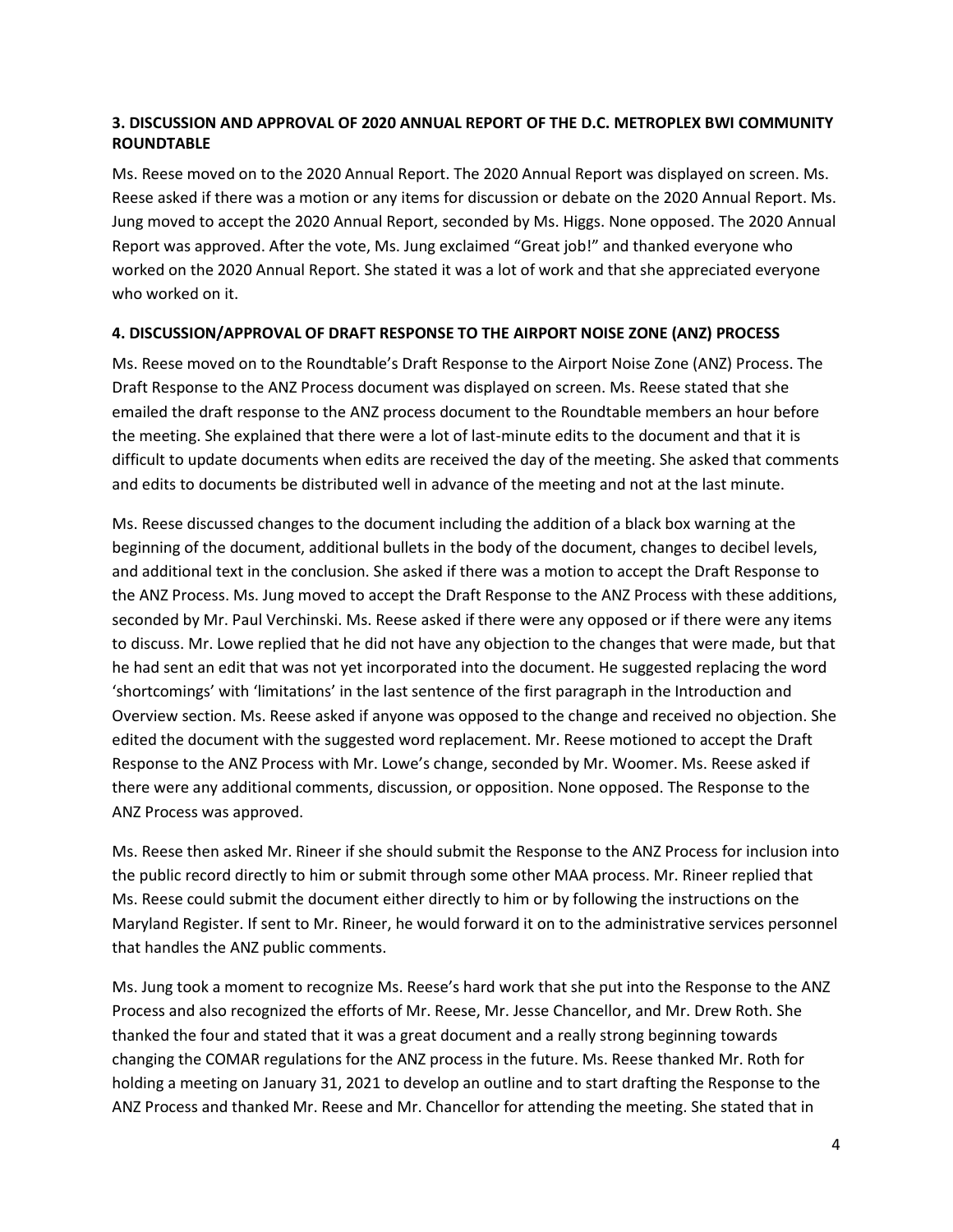# **3. DISCUSSION AND APPROVAL OF 2020 ANNUAL REPORT OF THE D.C. METROPLEX BWI COMMUNITY ROUNDTABLE**

Ms. Reese moved on to the 2020 Annual Report. The 2020 Annual Report was displayed on screen. Ms. Reese asked if there was a motion or any items for discussion or debate on the 2020 Annual Report. Ms. Jung moved to accept the 2020 Annual Report, seconded by Ms. Higgs. None opposed. The 2020 Annual Report was approved. After the vote, Ms. Jung exclaimed "Great job!" and thanked everyone who worked on the 2020 Annual Report. She stated it was a lot of work and that she appreciated everyone who worked on it.

# **4. DISCUSSION/APPROVAL OF DRAFT RESPONSE TO THE AIRPORT NOISE ZONE (ANZ) PROCESS**

Ms. Reese moved on to the Roundtable's Draft Response to the Airport Noise Zone (ANZ) Process. The Draft Response to the ANZ Process document was displayed on screen. Ms. Reese stated that she emailed the draft response to the ANZ process document to the Roundtable members an hour before the meeting. She explained that there were a lot of last-minute edits to the document and that it is difficult to update documents when edits are received the day of the meeting. She asked that comments and edits to documents be distributed well in advance of the meeting and not at the last minute.

Ms. Reese discussed changes to the document including the addition of a black box warning at the beginning of the document, additional bullets in the body of the document, changes to decibel levels, and additional text in the conclusion. She asked if there was a motion to accept the Draft Response to the ANZ Process. Ms. Jung moved to accept the Draft Response to the ANZ Process with these additions, seconded by Mr. Paul Verchinski. Ms. Reese asked if there were any opposed or if there were any items to discuss. Mr. Lowe replied that he did not have any objection to the changes that were made, but that he had sent an edit that was not yet incorporated into the document. He suggested replacing the word 'shortcomings' with 'limitations' in the last sentence of the first paragraph in the Introduction and Overview section. Ms. Reese asked if anyone was opposed to the change and received no objection. She edited the document with the suggested word replacement. Mr. Reese motioned to accept the Draft Response to the ANZ Process with Mr. Lowe's change, seconded by Mr. Woomer. Ms. Reese asked if there were any additional comments, discussion, or opposition. None opposed. The Response to the ANZ Process was approved.

Ms. Reese then asked Mr. Rineer if she should submit the Response to the ANZ Process for inclusion into the public record directly to him or submit through some other MAA process. Mr. Rineer replied that Ms. Reese could submit the document either directly to him or by following the instructions on the Maryland Register. If sent to Mr. Rineer, he would forward it on to the administrative services personnel that handles the ANZ public comments.

Ms. Jung took a moment to recognize Ms. Reese's hard work that she put into the Response to the ANZ Process and also recognized the efforts of Mr. Reese, Mr. Jesse Chancellor, and Mr. Drew Roth. She thanked the four and stated that it was a great document and a really strong beginning towards changing the COMAR regulations for the ANZ process in the future. Ms. Reese thanked Mr. Roth for holding a meeting on January 31, 2021 to develop an outline and to start drafting the Response to the ANZ Process and thanked Mr. Reese and Mr. Chancellor for attending the meeting. She stated that in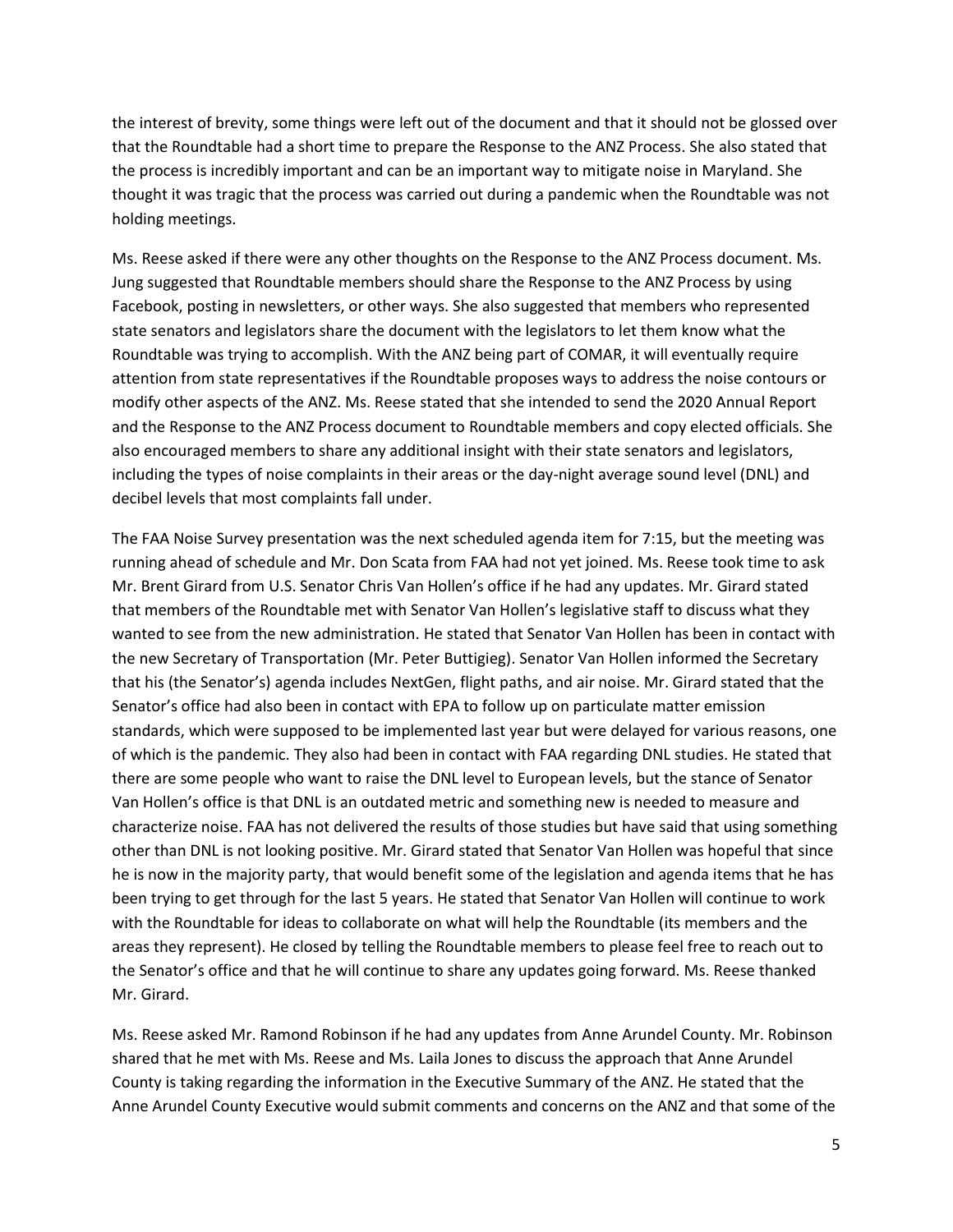the interest of brevity, some things were left out of the document and that it should not be glossed over that the Roundtable had a short time to prepare the Response to the ANZ Process. She also stated that the process is incredibly important and can be an important way to mitigate noise in Maryland. She thought it was tragic that the process was carried out during a pandemic when the Roundtable was not holding meetings.

Ms. Reese asked if there were any other thoughts on the Response to the ANZ Process document. Ms. Jung suggested that Roundtable members should share the Response to the ANZ Process by using Facebook, posting in newsletters, or other ways. She also suggested that members who represented state senators and legislators share the document with the legislators to let them know what the Roundtable was trying to accomplish. With the ANZ being part of COMAR, it will eventually require attention from state representatives if the Roundtable proposes ways to address the noise contours or modify other aspects of the ANZ. Ms. Reese stated that she intended to send the 2020 Annual Report and the Response to the ANZ Process document to Roundtable members and copy elected officials. She also encouraged members to share any additional insight with their state senators and legislators, including the types of noise complaints in their areas or the day-night average sound level (DNL) and decibel levels that most complaints fall under.

The FAA Noise Survey presentation was the next scheduled agenda item for 7:15, but the meeting was running ahead of schedule and Mr. Don Scata from FAA had not yet joined. Ms. Reese took time to ask Mr. Brent Girard from U.S. Senator Chris Van Hollen's office if he had any updates. Mr. Girard stated that members of the Roundtable met with Senator Van Hollen's legislative staff to discuss what they wanted to see from the new administration. He stated that Senator Van Hollen has been in contact with the new Secretary of Transportation (Mr. Peter Buttigieg). Senator Van Hollen informed the Secretary that his (the Senator's) agenda includes NextGen, flight paths, and air noise. Mr. Girard stated that the Senator's office had also been in contact with EPA to follow up on particulate matter emission standards, which were supposed to be implemented last year but were delayed for various reasons, one of which is the pandemic. They also had been in contact with FAA regarding DNL studies. He stated that there are some people who want to raise the DNL level to European levels, but the stance of Senator Van Hollen's office is that DNL is an outdated metric and something new is needed to measure and characterize noise. FAA has not delivered the results of those studies but have said that using something other than DNL is not looking positive. Mr. Girard stated that Senator Van Hollen was hopeful that since he is now in the majority party, that would benefit some of the legislation and agenda items that he has been trying to get through for the last 5 years. He stated that Senator Van Hollen will continue to work with the Roundtable for ideas to collaborate on what will help the Roundtable (its members and the areas they represent). He closed by telling the Roundtable members to please feel free to reach out to the Senator's office and that he will continue to share any updates going forward. Ms. Reese thanked Mr. Girard.

Ms. Reese asked Mr. Ramond Robinson if he had any updates from Anne Arundel County. Mr. Robinson shared that he met with Ms. Reese and Ms. Laila Jones to discuss the approach that Anne Arundel County is taking regarding the information in the Executive Summary of the ANZ. He stated that the Anne Arundel County Executive would submit comments and concerns on the ANZ and that some of the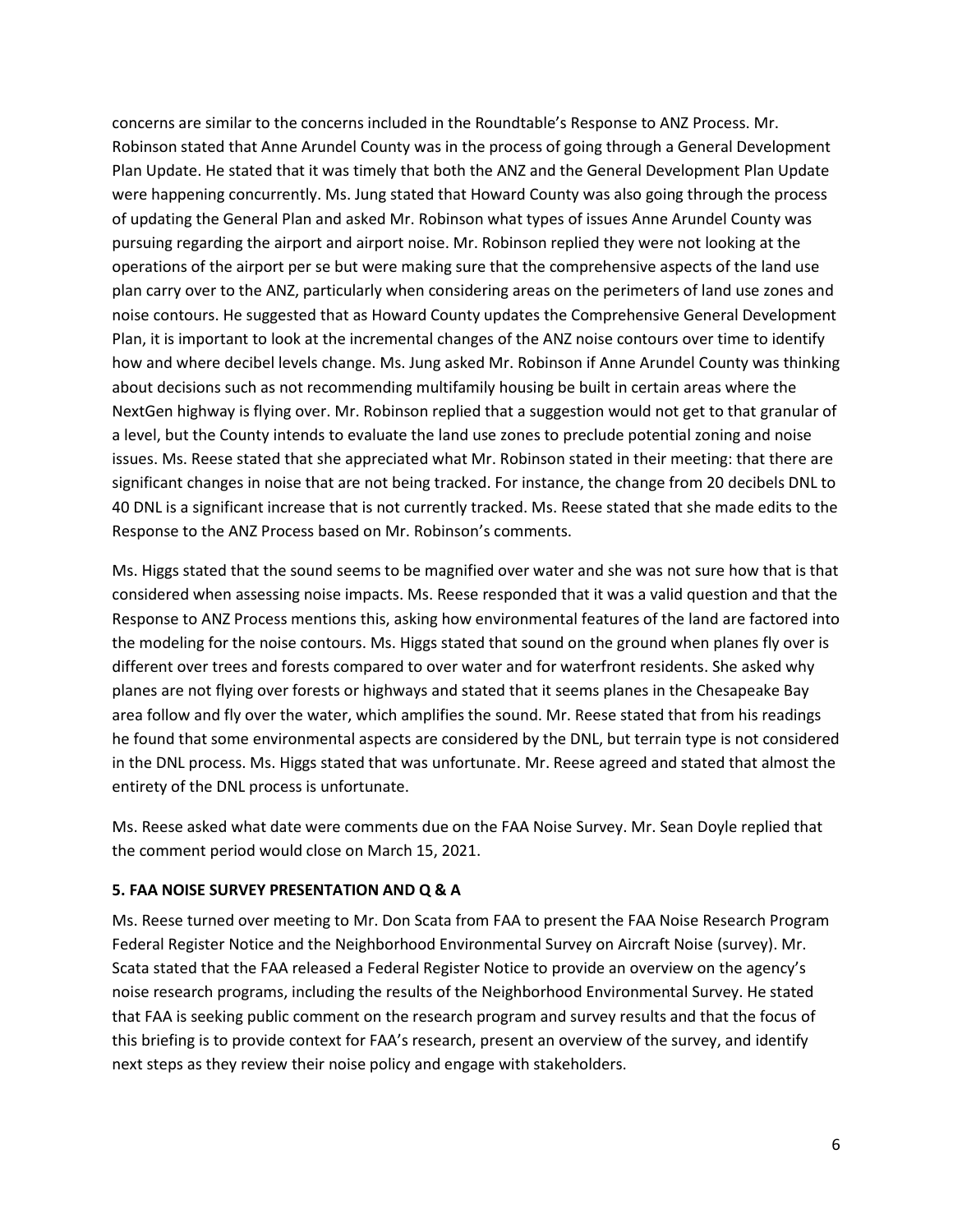concerns are similar to the concerns included in the Roundtable's Response to ANZ Process. Mr. Robinson stated that Anne Arundel County was in the process of going through a General Development Plan Update. He stated that it was timely that both the ANZ and the General Development Plan Update were happening concurrently. Ms. Jung stated that Howard County was also going through the process of updating the General Plan and asked Mr. Robinson what types of issues Anne Arundel County was pursuing regarding the airport and airport noise. Mr. Robinson replied they were not looking at the operations of the airport per se but were making sure that the comprehensive aspects of the land use plan carry over to the ANZ, particularly when considering areas on the perimeters of land use zones and noise contours. He suggested that as Howard County updates the Comprehensive General Development Plan, it is important to look at the incremental changes of the ANZ noise contours over time to identify how and where decibel levels change. Ms. Jung asked Mr. Robinson if Anne Arundel County was thinking about decisions such as not recommending multifamily housing be built in certain areas where the NextGen highway is flying over. Mr. Robinson replied that a suggestion would not get to that granular of a level, but the County intends to evaluate the land use zones to preclude potential zoning and noise issues. Ms. Reese stated that she appreciated what Mr. Robinson stated in their meeting: that there are significant changes in noise that are not being tracked. For instance, the change from 20 decibels DNL to 40 DNL is a significant increase that is not currently tracked. Ms. Reese stated that she made edits to the Response to the ANZ Process based on Mr. Robinson's comments.

Ms. Higgs stated that the sound seems to be magnified over water and she was not sure how that is that considered when assessing noise impacts. Ms. Reese responded that it was a valid question and that the Response to ANZ Process mentions this, asking how environmental features of the land are factored into the modeling for the noise contours. Ms. Higgs stated that sound on the ground when planes fly over is different over trees and forests compared to over water and for waterfront residents. She asked why planes are not flying over forests or highways and stated that it seems planes in the Chesapeake Bay area follow and fly over the water, which amplifies the sound. Mr. Reese stated that from his readings he found that some environmental aspects are considered by the DNL, but terrain type is not considered in the DNL process. Ms. Higgs stated that was unfortunate. Mr. Reese agreed and stated that almost the entirety of the DNL process is unfortunate.

Ms. Reese asked what date were comments due on the FAA Noise Survey. Mr. Sean Doyle replied that the comment period would close on March 15, 2021.

### **5. FAA NOISE SURVEY PRESENTATION AND Q & A**

Ms. Reese turned over meeting to Mr. Don Scata from FAA to present the FAA Noise Research Program Federal Register Notice and the Neighborhood Environmental Survey on Aircraft Noise (survey). Mr. Scata stated that the FAA released a Federal Register Notice to provide an overview on the agency's noise research programs, including the results of the Neighborhood Environmental Survey. He stated that FAA is seeking public comment on the research program and survey results and that the focus of this briefing is to provide context for FAA's research, present an overview of the survey, and identify next steps as they review their noise policy and engage with stakeholders.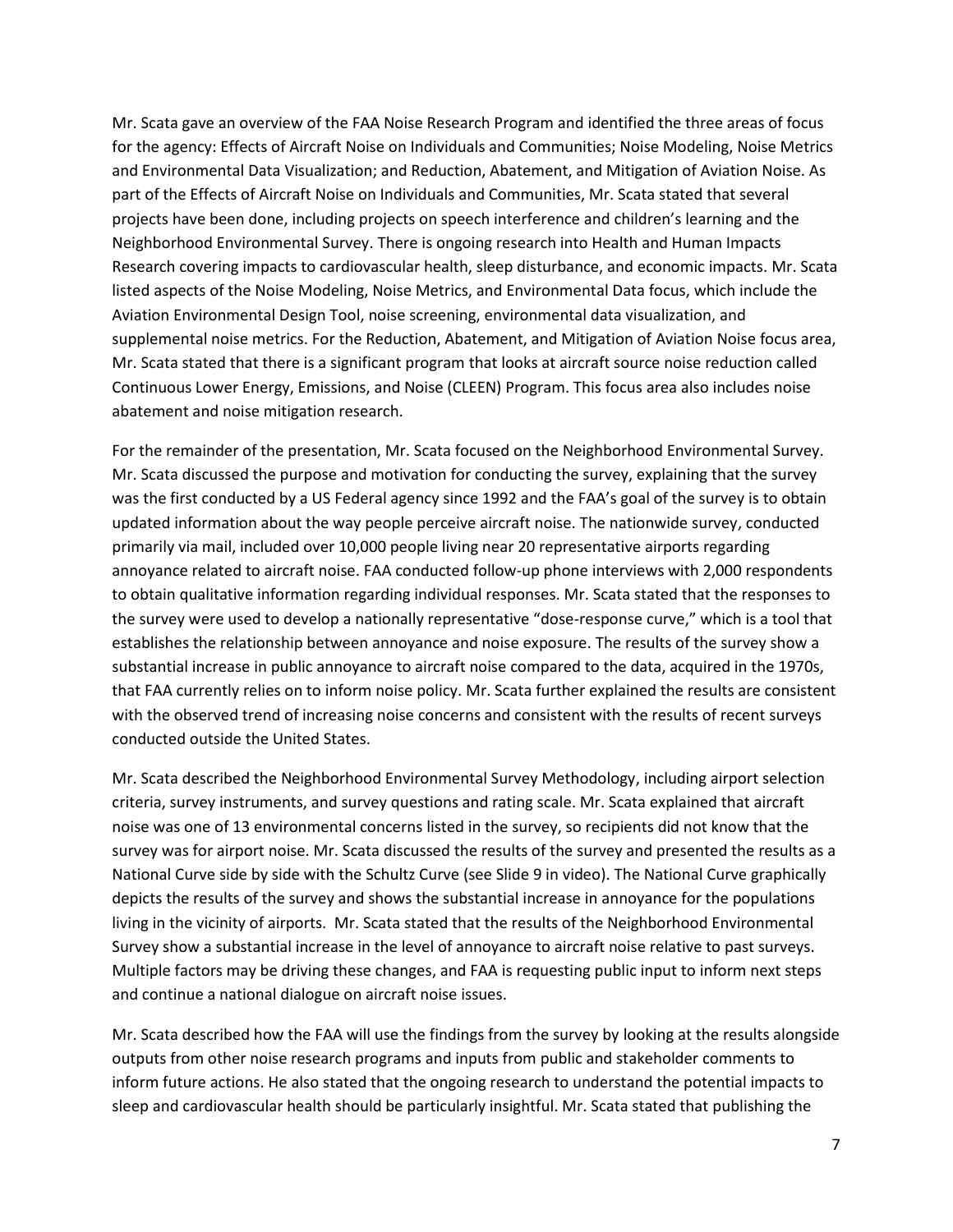Mr. Scata gave an overview of the FAA Noise Research Program and identified the three areas of focus for the agency: Effects of Aircraft Noise on Individuals and Communities; Noise Modeling, Noise Metrics and Environmental Data Visualization; and Reduction, Abatement, and Mitigation of Aviation Noise. As part of the Effects of Aircraft Noise on Individuals and Communities, Mr. Scata stated that several projects have been done, including projects on speech interference and children's learning and the Neighborhood Environmental Survey. There is ongoing research into Health and Human Impacts Research covering impacts to cardiovascular health, sleep disturbance, and economic impacts. Mr. Scata listed aspects of the Noise Modeling, Noise Metrics, and Environmental Data focus, which include the Aviation Environmental Design Tool, noise screening, environmental data visualization, and supplemental noise metrics. For the Reduction, Abatement, and Mitigation of Aviation Noise focus area, Mr. Scata stated that there is a significant program that looks at aircraft source noise reduction called Continuous Lower Energy, Emissions, and Noise (CLEEN) Program. This focus area also includes noise abatement and noise mitigation research.

For the remainder of the presentation, Mr. Scata focused on the Neighborhood Environmental Survey. Mr. Scata discussed the purpose and motivation for conducting the survey, explaining that the survey was the first conducted by a US Federal agency since 1992 and the FAA's goal of the survey is to obtain updated information about the way people perceive aircraft noise. The nationwide survey, conducted primarily via mail, included over 10,000 people living near 20 representative airports regarding annoyance related to aircraft noise. FAA conducted follow-up phone interviews with 2,000 respondents to obtain qualitative information regarding individual responses. Mr. Scata stated that the responses to the survey were used to develop a nationally representative "dose-response curve," which is a tool that establishes the relationship between annoyance and noise exposure. The results of the survey show a substantial increase in public annoyance to aircraft noise compared to the data, acquired in the 1970s, that FAA currently relies on to inform noise policy. Mr. Scata further explained the results are consistent with the observed trend of increasing noise concerns and consistent with the results of recent surveys conducted outside the United States.

Mr. Scata described the Neighborhood Environmental Survey Methodology, including airport selection criteria, survey instruments, and survey questions and rating scale. Mr. Scata explained that aircraft noise was one of 13 environmental concerns listed in the survey, so recipients did not know that the survey was for airport noise. Mr. Scata discussed the results of the survey and presented the results as a National Curve side by side with the Schultz Curve (see Slide 9 in video). The National Curve graphically depicts the results of the survey and shows the substantial increase in annoyance for the populations living in the vicinity of airports. Mr. Scata stated that the results of the Neighborhood Environmental Survey show a substantial increase in the level of annoyance to aircraft noise relative to past surveys. Multiple factors may be driving these changes, and FAA is requesting public input to inform next steps and continue a national dialogue on aircraft noise issues.

Mr. Scata described how the FAA will use the findings from the survey by looking at the results alongside outputs from other noise research programs and inputs from public and stakeholder comments to inform future actions. He also stated that the ongoing research to understand the potential impacts to sleep and cardiovascular health should be particularly insightful. Mr. Scata stated that publishing the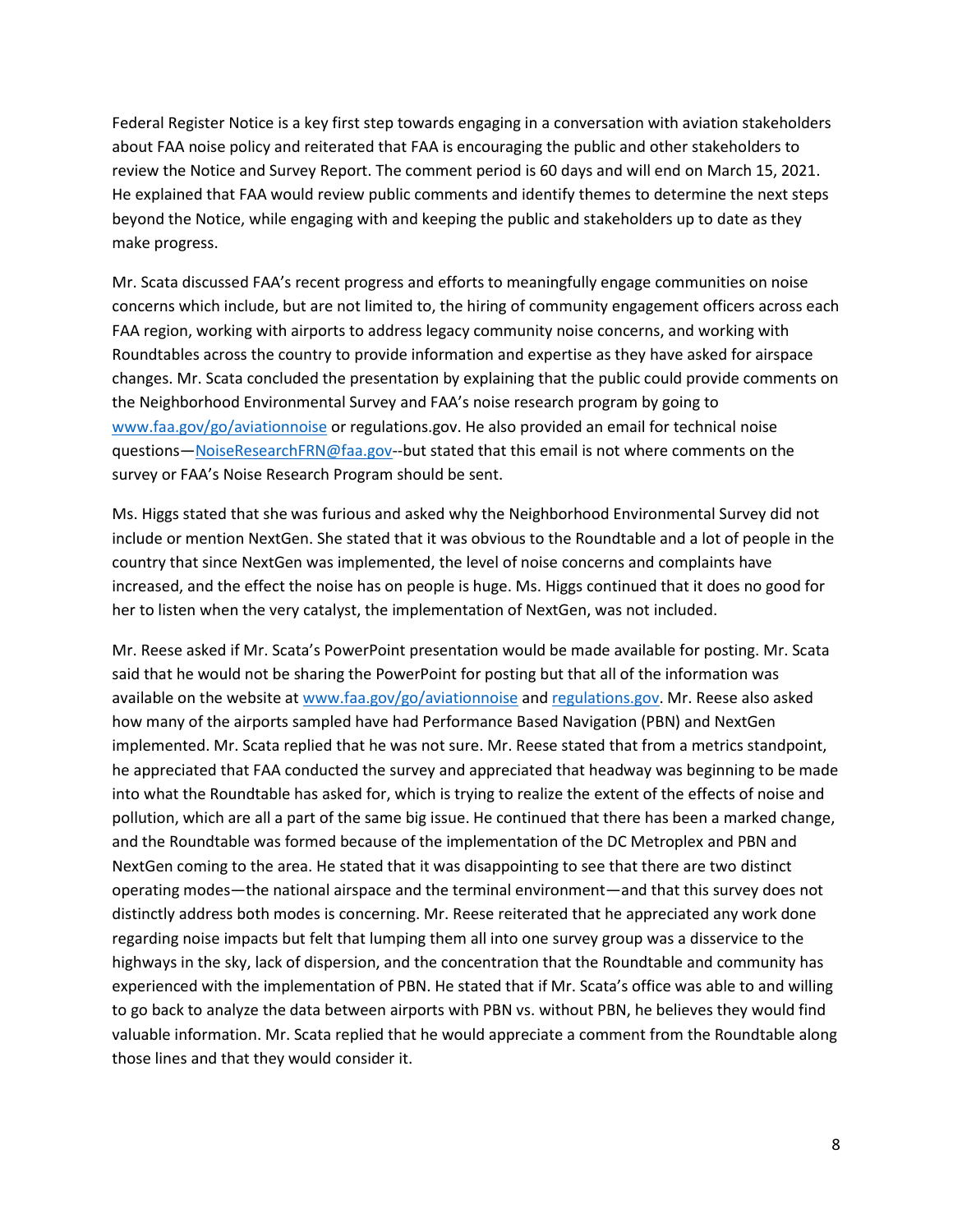Federal Register Notice is a key first step towards engaging in a conversation with aviation stakeholders about FAA noise policy and reiterated that FAA is encouraging the public and other stakeholders to review the Notice and Survey Report. The comment period is 60 days and will end on March 15, 2021. He explained that FAA would review public comments and identify themes to determine the next steps beyond the Notice, while engaging with and keeping the public and stakeholders up to date as they make progress.

Mr. Scata discussed FAA's recent progress and efforts to meaningfully engage communities on noise concerns which include, but are not limited to, the hiring of community engagement officers across each FAA region, working with airports to address legacy community noise concerns, and working with Roundtables across the country to provide information and expertise as they have asked for airspace changes. Mr. Scata concluded the presentation by explaining that the public could provide comments on the Neighborhood Environmental Survey and FAA's noise research program by going to [www.faa.gov/go/aviationnoise](http://www.faa.gov/go/aviationnoise) or regulations.gov. He also provided an email for technical noise questions—[NoiseResearchFRN@faa.gov-](mailto:NoiseResearchFRN@faa.gov)-but stated that this email is not where comments on the survey or FAA's Noise Research Program should be sent.

Ms. Higgs stated that she was furious and asked why the Neighborhood Environmental Survey did not include or mention NextGen. She stated that it was obvious to the Roundtable and a lot of people in the country that since NextGen was implemented, the level of noise concerns and complaints have increased, and the effect the noise has on people is huge. Ms. Higgs continued that it does no good for her to listen when the very catalyst, the implementation of NextGen, was not included.

Mr. Reese asked if Mr. Scata's PowerPoint presentation would be made available for posting. Mr. Scata said that he would not be sharing the PowerPoint for posting but that all of the information was available on the website a[t www.faa.gov/go/aviationnoise](http://www.faa.gov/go/aviationnoise) an[d regulations.gov.](https://www.regulations.gov/) Mr. Reese also asked how many of the airports sampled have had Performance Based Navigation (PBN) and NextGen implemented. Mr. Scata replied that he was not sure. Mr. Reese stated that from a metrics standpoint, he appreciated that FAA conducted the survey and appreciated that headway was beginning to be made into what the Roundtable has asked for, which is trying to realize the extent of the effects of noise and pollution, which are all a part of the same big issue. He continued that there has been a marked change, and the Roundtable was formed because of the implementation of the DC Metroplex and PBN and NextGen coming to the area. He stated that it was disappointing to see that there are two distinct operating modes—the national airspace and the terminal environment—and that this survey does not distinctly address both modes is concerning. Mr. Reese reiterated that he appreciated any work done regarding noise impacts but felt that lumping them all into one survey group was a disservice to the highways in the sky, lack of dispersion, and the concentration that the Roundtable and community has experienced with the implementation of PBN. He stated that if Mr. Scata's office was able to and willing to go back to analyze the data between airports with PBN vs. without PBN, he believes they would find valuable information. Mr. Scata replied that he would appreciate a comment from the Roundtable along those lines and that they would consider it.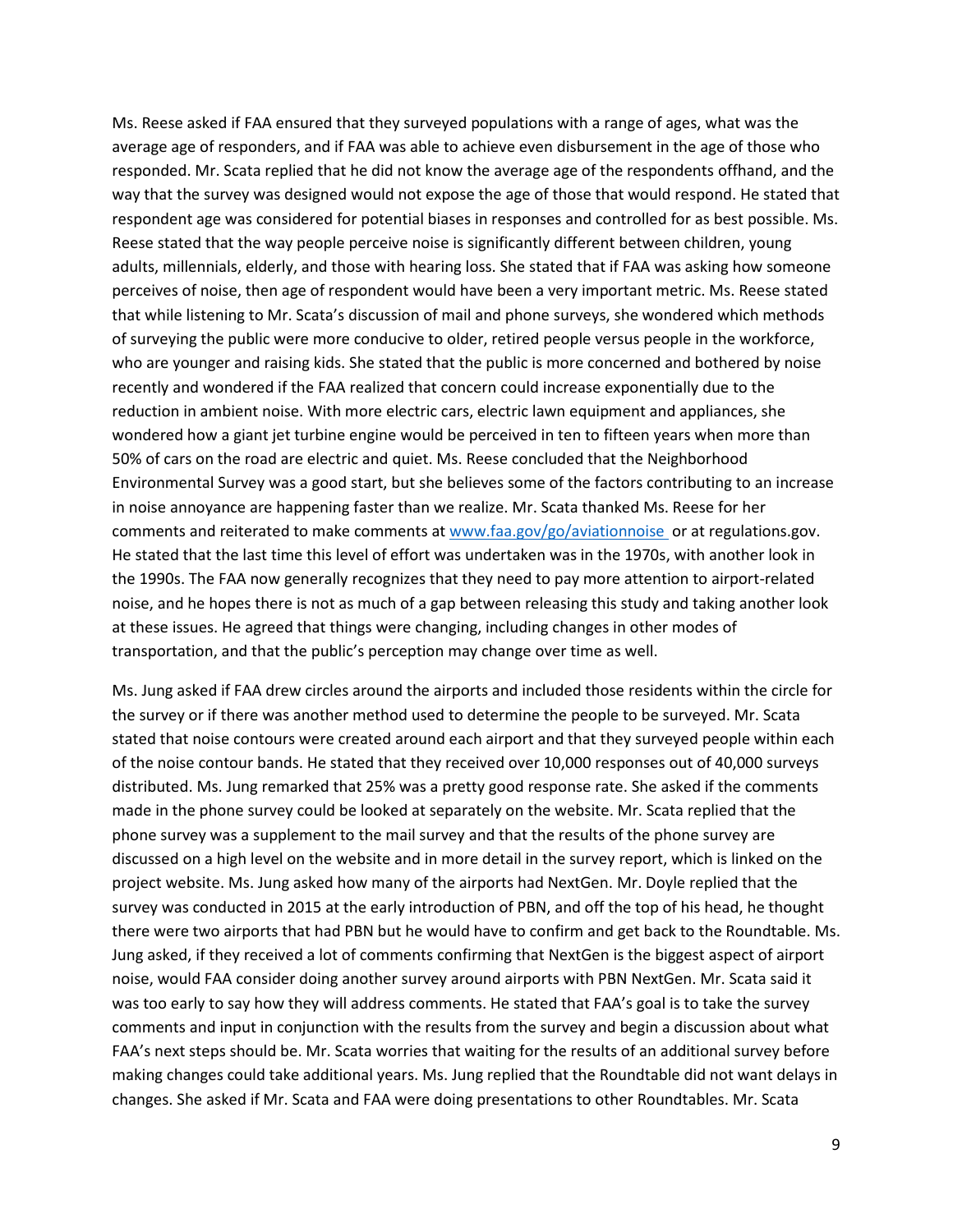Ms. Reese asked if FAA ensured that they surveyed populations with a range of ages, what was the average age of responders, and if FAA was able to achieve even disbursement in the age of those who responded. Mr. Scata replied that he did not know the average age of the respondents offhand, and the way that the survey was designed would not expose the age of those that would respond. He stated that respondent age was considered for potential biases in responses and controlled for as best possible. Ms. Reese stated that the way people perceive noise is significantly different between children, young adults, millennials, elderly, and those with hearing loss. She stated that if FAA was asking how someone perceives of noise, then age of respondent would have been a very important metric. Ms. Reese stated that while listening to Mr. Scata's discussion of mail and phone surveys, she wondered which methods of surveying the public were more conducive to older, retired people versus people in the workforce, who are younger and raising kids. She stated that the public is more concerned and bothered by noise recently and wondered if the FAA realized that concern could increase exponentially due to the reduction in ambient noise. With more electric cars, electric lawn equipment and appliances, she wondered how a giant jet turbine engine would be perceived in ten to fifteen years when more than 50% of cars on the road are electric and quiet. Ms. Reese concluded that the Neighborhood Environmental Survey was a good start, but she believes some of the factors contributing to an increase in noise annoyance are happening faster than we realize. Mr. Scata thanked Ms. Reese for her comments and reiterated to make comments at [www.faa.gov/go/aviationnoise](http://www.faa.gov/go/aviationnoise) or at regulations.gov. He stated that the last time this level of effort was undertaken was in the 1970s, with another look in the 1990s. The FAA now generally recognizes that they need to pay more attention to airport-related noise, and he hopes there is not as much of a gap between releasing this study and taking another look at these issues. He agreed that things were changing, including changes in other modes of transportation, and that the public's perception may change over time as well.

Ms. Jung asked if FAA drew circles around the airports and included those residents within the circle for the survey or if there was another method used to determine the people to be surveyed. Mr. Scata stated that noise contours were created around each airport and that they surveyed people within each of the noise contour bands. He stated that they received over 10,000 responses out of 40,000 surveys distributed. Ms. Jung remarked that 25% was a pretty good response rate. She asked if the comments made in the phone survey could be looked at separately on the website. Mr. Scata replied that the phone survey was a supplement to the mail survey and that the results of the phone survey are discussed on a high level on the website and in more detail in the survey report, which is linked on the project website. Ms. Jung asked how many of the airports had NextGen. Mr. Doyle replied that the survey was conducted in 2015 at the early introduction of PBN, and off the top of his head, he thought there were two airports that had PBN but he would have to confirm and get back to the Roundtable. Ms. Jung asked, if they received a lot of comments confirming that NextGen is the biggest aspect of airport noise, would FAA consider doing another survey around airports with PBN NextGen. Mr. Scata said it was too early to say how they will address comments. He stated that FAA's goal is to take the survey comments and input in conjunction with the results from the survey and begin a discussion about what FAA's next steps should be. Mr. Scata worries that waiting for the results of an additional survey before making changes could take additional years. Ms. Jung replied that the Roundtable did not want delays in changes. She asked if Mr. Scata and FAA were doing presentations to other Roundtables. Mr. Scata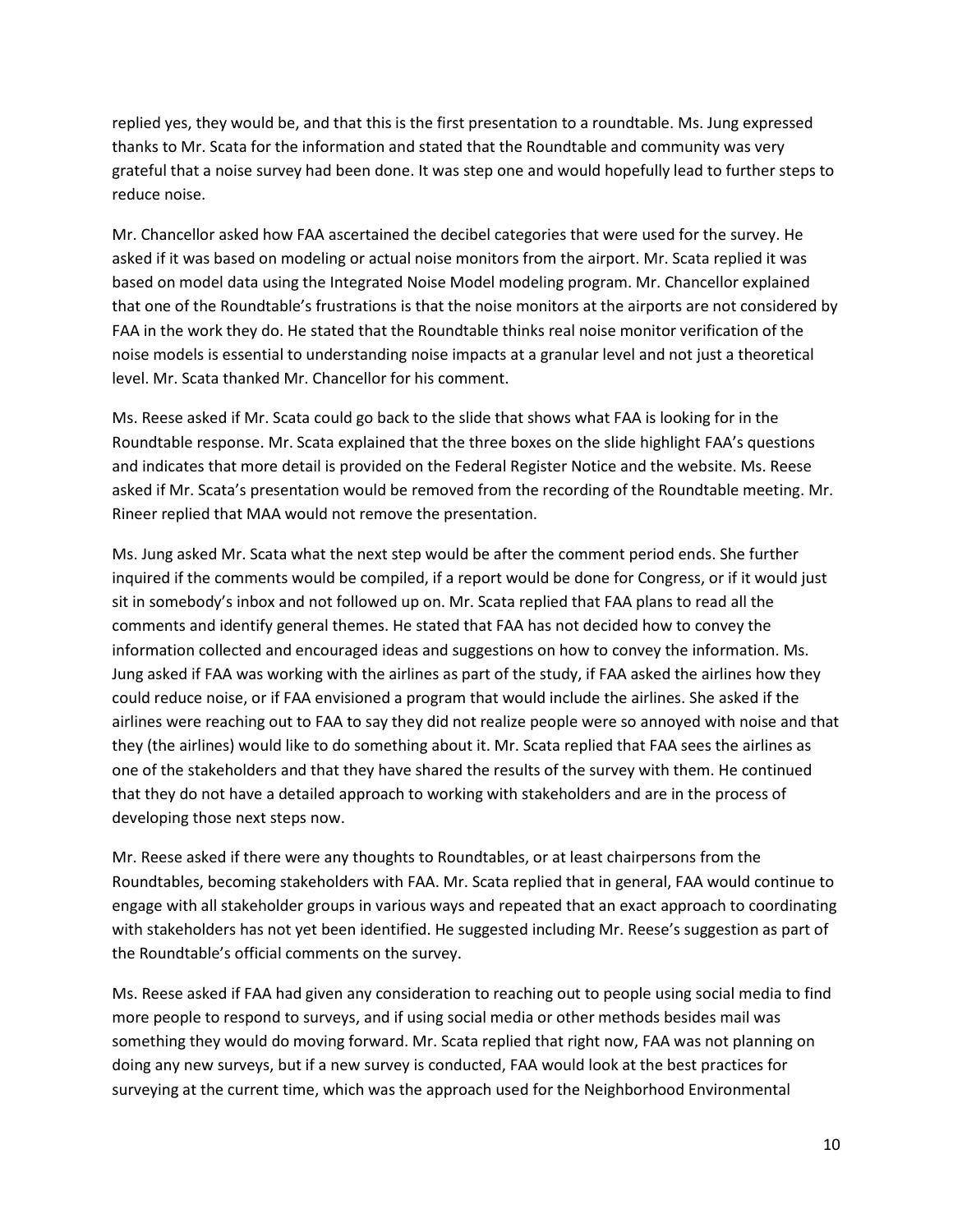replied yes, they would be, and that this is the first presentation to a roundtable. Ms. Jung expressed thanks to Mr. Scata for the information and stated that the Roundtable and community was very grateful that a noise survey had been done. It was step one and would hopefully lead to further steps to reduce noise.

Mr. Chancellor asked how FAA ascertained the decibel categories that were used for the survey. He asked if it was based on modeling or actual noise monitors from the airport. Mr. Scata replied it was based on model data using the Integrated Noise Model modeling program. Mr. Chancellor explained that one of the Roundtable's frustrations is that the noise monitors at the airports are not considered by FAA in the work they do. He stated that the Roundtable thinks real noise monitor verification of the noise models is essential to understanding noise impacts at a granular level and not just a theoretical level. Mr. Scata thanked Mr. Chancellor for his comment.

Ms. Reese asked if Mr. Scata could go back to the slide that shows what FAA is looking for in the Roundtable response. Mr. Scata explained that the three boxes on the slide highlight FAA's questions and indicates that more detail is provided on the Federal Register Notice and the website. Ms. Reese asked if Mr. Scata's presentation would be removed from the recording of the Roundtable meeting. Mr. Rineer replied that MAA would not remove the presentation.

Ms. Jung asked Mr. Scata what the next step would be after the comment period ends. She further inquired if the comments would be compiled, if a report would be done for Congress, or if it would just sit in somebody's inbox and not followed up on. Mr. Scata replied that FAA plans to read all the comments and identify general themes. He stated that FAA has not decided how to convey the information collected and encouraged ideas and suggestions on how to convey the information. Ms. Jung asked if FAA was working with the airlines as part of the study, if FAA asked the airlines how they could reduce noise, or if FAA envisioned a program that would include the airlines. She asked if the airlines were reaching out to FAA to say they did not realize people were so annoyed with noise and that they (the airlines) would like to do something about it. Mr. Scata replied that FAA sees the airlines as one of the stakeholders and that they have shared the results of the survey with them. He continued that they do not have a detailed approach to working with stakeholders and are in the process of developing those next steps now.

Mr. Reese asked if there were any thoughts to Roundtables, or at least chairpersons from the Roundtables, becoming stakeholders with FAA. Mr. Scata replied that in general, FAA would continue to engage with all stakeholder groups in various ways and repeated that an exact approach to coordinating with stakeholders has not yet been identified. He suggested including Mr. Reese's suggestion as part of the Roundtable's official comments on the survey.

Ms. Reese asked if FAA had given any consideration to reaching out to people using social media to find more people to respond to surveys, and if using social media or other methods besides mail was something they would do moving forward. Mr. Scata replied that right now, FAA was not planning on doing any new surveys, but if a new survey is conducted, FAA would look at the best practices for surveying at the current time, which was the approach used for the Neighborhood Environmental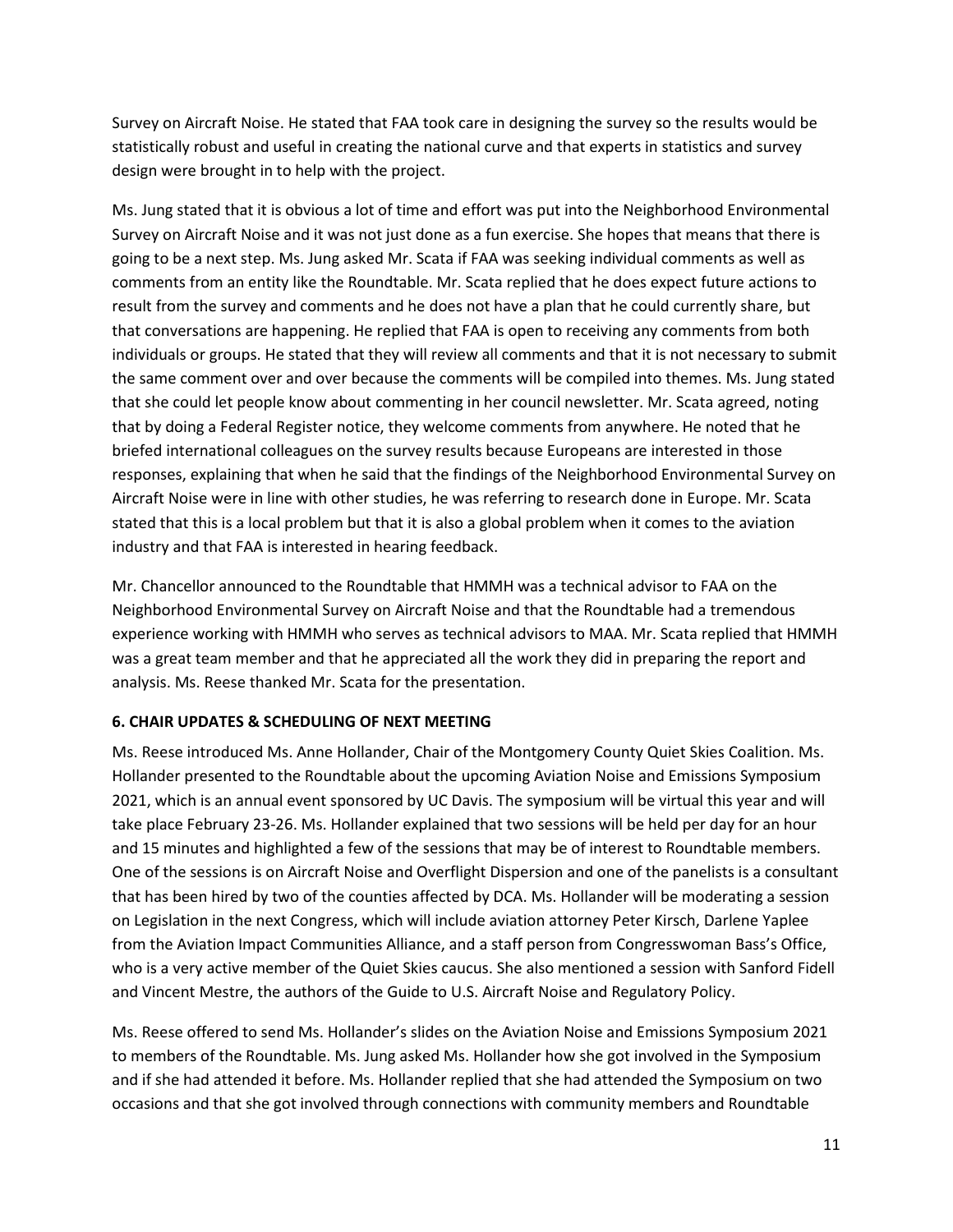Survey on Aircraft Noise. He stated that FAA took care in designing the survey so the results would be statistically robust and useful in creating the national curve and that experts in statistics and survey design were brought in to help with the project.

Ms. Jung stated that it is obvious a lot of time and effort was put into the Neighborhood Environmental Survey on Aircraft Noise and it was not just done as a fun exercise. She hopes that means that there is going to be a next step. Ms. Jung asked Mr. Scata if FAA was seeking individual comments as well as comments from an entity like the Roundtable. Mr. Scata replied that he does expect future actions to result from the survey and comments and he does not have a plan that he could currently share, but that conversations are happening. He replied that FAA is open to receiving any comments from both individuals or groups. He stated that they will review all comments and that it is not necessary to submit the same comment over and over because the comments will be compiled into themes. Ms. Jung stated that she could let people know about commenting in her council newsletter. Mr. Scata agreed, noting that by doing a Federal Register notice, they welcome comments from anywhere. He noted that he briefed international colleagues on the survey results because Europeans are interested in those responses, explaining that when he said that the findings of the Neighborhood Environmental Survey on Aircraft Noise were in line with other studies, he was referring to research done in Europe. Mr. Scata stated that this is a local problem but that it is also a global problem when it comes to the aviation industry and that FAA is interested in hearing feedback.

Mr. Chancellor announced to the Roundtable that HMMH was a technical advisor to FAA on the Neighborhood Environmental Survey on Aircraft Noise and that the Roundtable had a tremendous experience working with HMMH who serves as technical advisors to MAA. Mr. Scata replied that HMMH was a great team member and that he appreciated all the work they did in preparing the report and analysis. Ms. Reese thanked Mr. Scata for the presentation.

# **6. CHAIR UPDATES & SCHEDULING OF NEXT MEETING**

Ms. Reese introduced Ms. Anne Hollander, Chair of the Montgomery County Quiet Skies Coalition. Ms. Hollander presented to the Roundtable about the upcoming Aviation Noise and Emissions Symposium 2021, which is an annual event sponsored by UC Davis. The symposium will be virtual this year and will take place February 23-26. Ms. Hollander explained that two sessions will be held per day for an hour and 15 minutes and highlighted a few of the sessions that may be of interest to Roundtable members. One of the sessions is on Aircraft Noise and Overflight Dispersion and one of the panelists is a consultant that has been hired by two of the counties affected by DCA. Ms. Hollander will be moderating a session on Legislation in the next Congress, which will include aviation attorney Peter Kirsch, Darlene Yaplee from the Aviation Impact Communities Alliance, and a staff person from Congresswoman Bass's Office, who is a very active member of the Quiet Skies caucus. She also mentioned a session with Sanford Fidell and Vincent Mestre, the authors of the Guide to U.S. Aircraft Noise and Regulatory Policy.

Ms. Reese offered to send Ms. Hollander's slides on the Aviation Noise and Emissions Symposium 2021 to members of the Roundtable. Ms. Jung asked Ms. Hollander how she got involved in the Symposium and if she had attended it before. Ms. Hollander replied that she had attended the Symposium on two occasions and that she got involved through connections with community members and Roundtable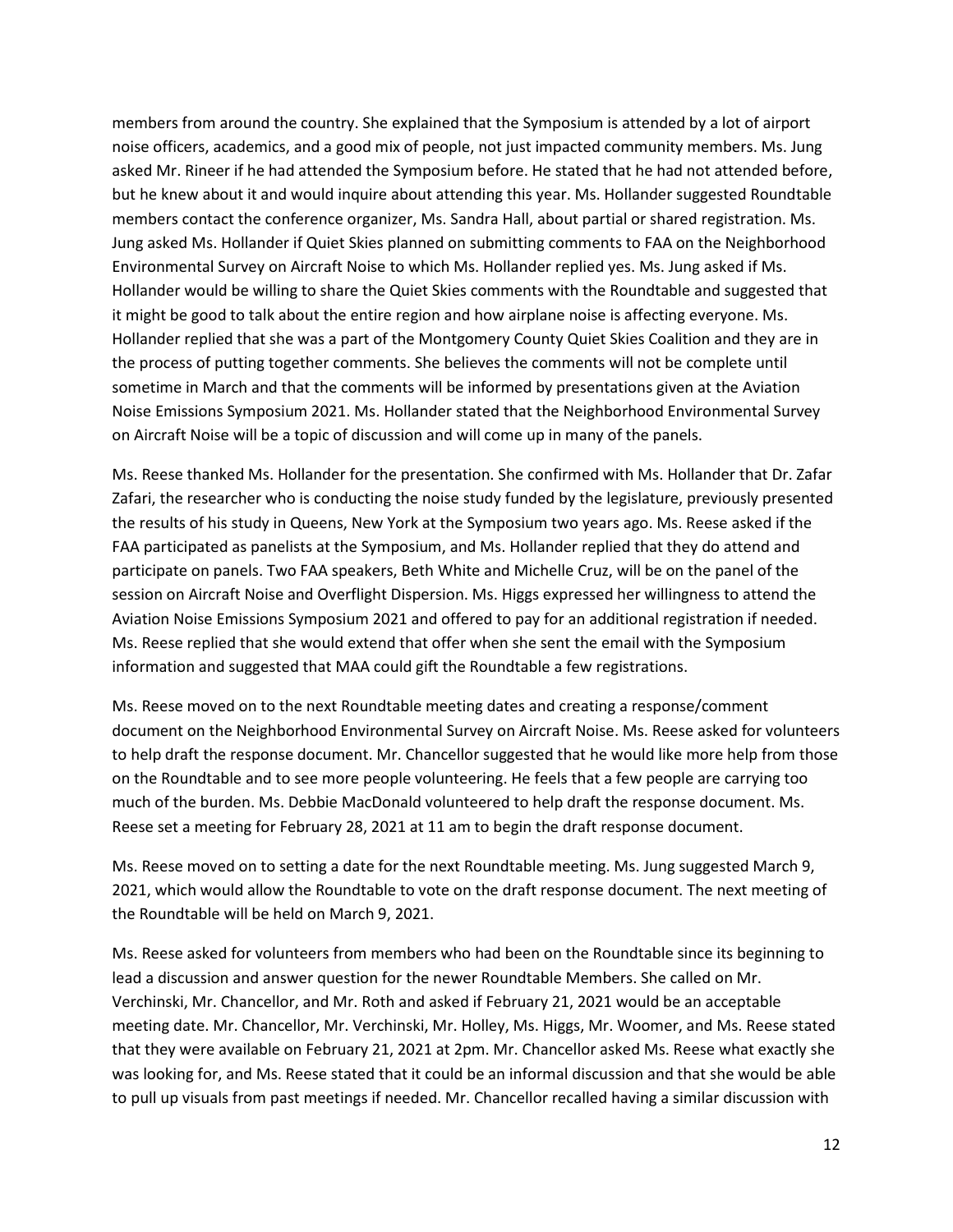members from around the country. She explained that the Symposium is attended by a lot of airport noise officers, academics, and a good mix of people, not just impacted community members. Ms. Jung asked Mr. Rineer if he had attended the Symposium before. He stated that he had not attended before, but he knew about it and would inquire about attending this year. Ms. Hollander suggested Roundtable members contact the conference organizer, Ms. Sandra Hall, about partial or shared registration. Ms. Jung asked Ms. Hollander if Quiet Skies planned on submitting comments to FAA on the Neighborhood Environmental Survey on Aircraft Noise to which Ms. Hollander replied yes. Ms. Jung asked if Ms. Hollander would be willing to share the Quiet Skies comments with the Roundtable and suggested that it might be good to talk about the entire region and how airplane noise is affecting everyone. Ms. Hollander replied that she was a part of the Montgomery County Quiet Skies Coalition and they are in the process of putting together comments. She believes the comments will not be complete until sometime in March and that the comments will be informed by presentations given at the Aviation Noise Emissions Symposium 2021. Ms. Hollander stated that the Neighborhood Environmental Survey on Aircraft Noise will be a topic of discussion and will come up in many of the panels.

Ms. Reese thanked Ms. Hollander for the presentation. She confirmed with Ms. Hollander that Dr. Zafar Zafari, the researcher who is conducting the noise study funded by the legislature, previously presented the results of his study in Queens, New York at the Symposium two years ago. Ms. Reese asked if the FAA participated as panelists at the Symposium, and Ms. Hollander replied that they do attend and participate on panels. Two FAA speakers, Beth White and Michelle Cruz, will be on the panel of the session on Aircraft Noise and Overflight Dispersion. Ms. Higgs expressed her willingness to attend the Aviation Noise Emissions Symposium 2021 and offered to pay for an additional registration if needed. Ms. Reese replied that she would extend that offer when she sent the email with the Symposium information and suggested that MAA could gift the Roundtable a few registrations.

Ms. Reese moved on to the next Roundtable meeting dates and creating a response/comment document on the Neighborhood Environmental Survey on Aircraft Noise. Ms. Reese asked for volunteers to help draft the response document. Mr. Chancellor suggested that he would like more help from those on the Roundtable and to see more people volunteering. He feels that a few people are carrying too much of the burden. Ms. Debbie MacDonald volunteered to help draft the response document. Ms. Reese set a meeting for February 28, 2021 at 11 am to begin the draft response document.

Ms. Reese moved on to setting a date for the next Roundtable meeting. Ms. Jung suggested March 9, 2021, which would allow the Roundtable to vote on the draft response document. The next meeting of the Roundtable will be held on March 9, 2021.

Ms. Reese asked for volunteers from members who had been on the Roundtable since its beginning to lead a discussion and answer question for the newer Roundtable Members. She called on Mr. Verchinski, Mr. Chancellor, and Mr. Roth and asked if February 21, 2021 would be an acceptable meeting date. Mr. Chancellor, Mr. Verchinski, Mr. Holley, Ms. Higgs, Mr. Woomer, and Ms. Reese stated that they were available on February 21, 2021 at 2pm. Mr. Chancellor asked Ms. Reese what exactly she was looking for, and Ms. Reese stated that it could be an informal discussion and that she would be able to pull up visuals from past meetings if needed. Mr. Chancellor recalled having a similar discussion with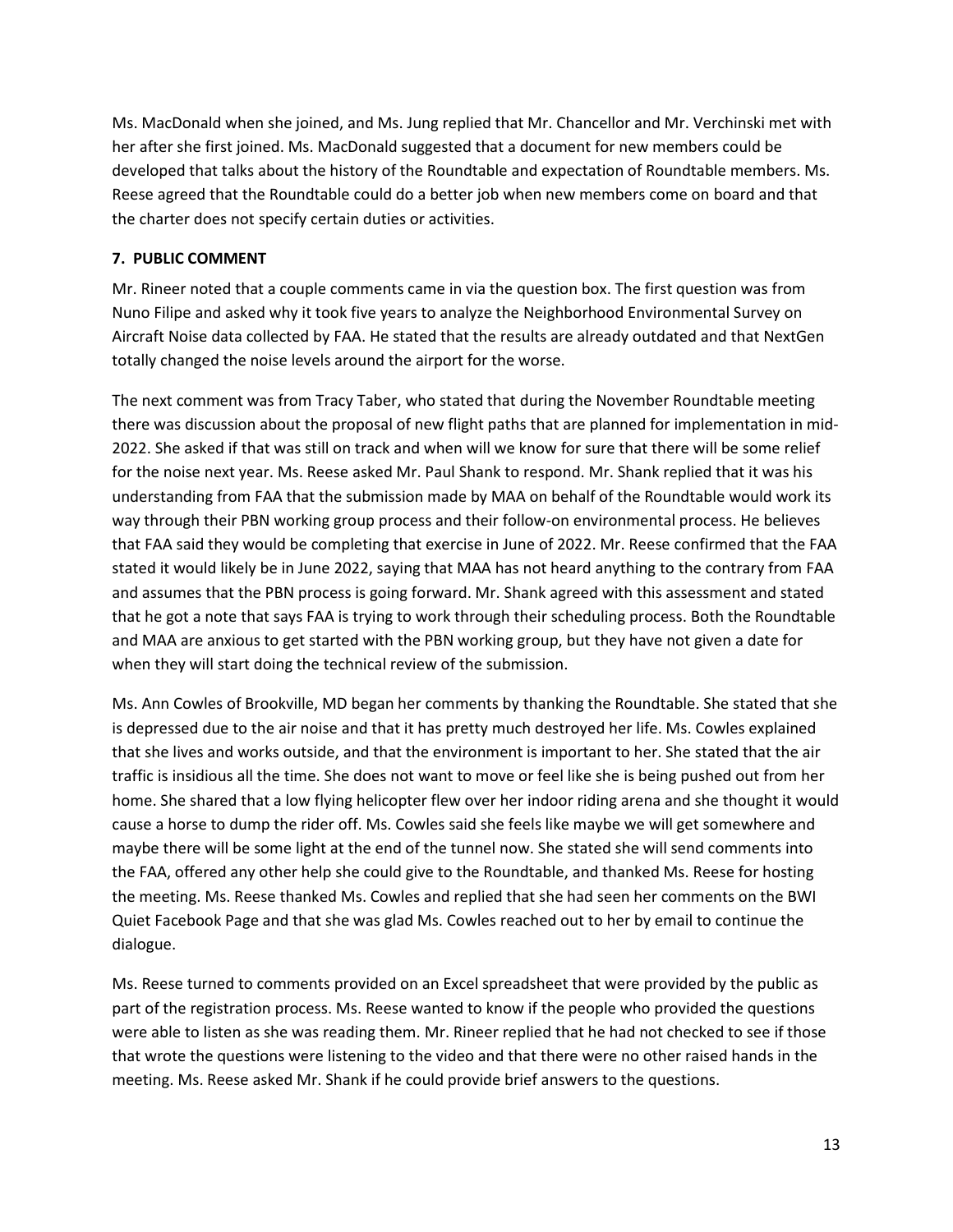Ms. MacDonald when she joined, and Ms. Jung replied that Mr. Chancellor and Mr. Verchinski met with her after she first joined. Ms. MacDonald suggested that a document for new members could be developed that talks about the history of the Roundtable and expectation of Roundtable members. Ms. Reese agreed that the Roundtable could do a better job when new members come on board and that the charter does not specify certain duties or activities.

# **7. PUBLIC COMMENT**

Mr. Rineer noted that a couple comments came in via the question box. The first question was from Nuno Filipe and asked why it took five years to analyze the Neighborhood Environmental Survey on Aircraft Noise data collected by FAA. He stated that the results are already outdated and that NextGen totally changed the noise levels around the airport for the worse.

The next comment was from Tracy Taber, who stated that during the November Roundtable meeting there was discussion about the proposal of new flight paths that are planned for implementation in mid-2022. She asked if that was still on track and when will we know for sure that there will be some relief for the noise next year. Ms. Reese asked Mr. Paul Shank to respond. Mr. Shank replied that it was his understanding from FAA that the submission made by MAA on behalf of the Roundtable would work its way through their PBN working group process and their follow-on environmental process. He believes that FAA said they would be completing that exercise in June of 2022. Mr. Reese confirmed that the FAA stated it would likely be in June 2022, saying that MAA has not heard anything to the contrary from FAA and assumes that the PBN process is going forward. Mr. Shank agreed with this assessment and stated that he got a note that says FAA is trying to work through their scheduling process. Both the Roundtable and MAA are anxious to get started with the PBN working group, but they have not given a date for when they will start doing the technical review of the submission.

Ms. Ann Cowles of Brookville, MD began her comments by thanking the Roundtable. She stated that she is depressed due to the air noise and that it has pretty much destroyed her life. Ms. Cowles explained that she lives and works outside, and that the environment is important to her. She stated that the air traffic is insidious all the time. She does not want to move or feel like she is being pushed out from her home. She shared that a low flying helicopter flew over her indoor riding arena and she thought it would cause a horse to dump the rider off. Ms. Cowles said she feels like maybe we will get somewhere and maybe there will be some light at the end of the tunnel now. She stated she will send comments into the FAA, offered any other help she could give to the Roundtable, and thanked Ms. Reese for hosting the meeting. Ms. Reese thanked Ms. Cowles and replied that she had seen her comments on the BWI Quiet Facebook Page and that she was glad Ms. Cowles reached out to her by email to continue the dialogue.

Ms. Reese turned to comments provided on an Excel spreadsheet that were provided by the public as part of the registration process. Ms. Reese wanted to know if the people who provided the questions were able to listen as she was reading them. Mr. Rineer replied that he had not checked to see if those that wrote the questions were listening to the video and that there were no other raised hands in the meeting. Ms. Reese asked Mr. Shank if he could provide brief answers to the questions.